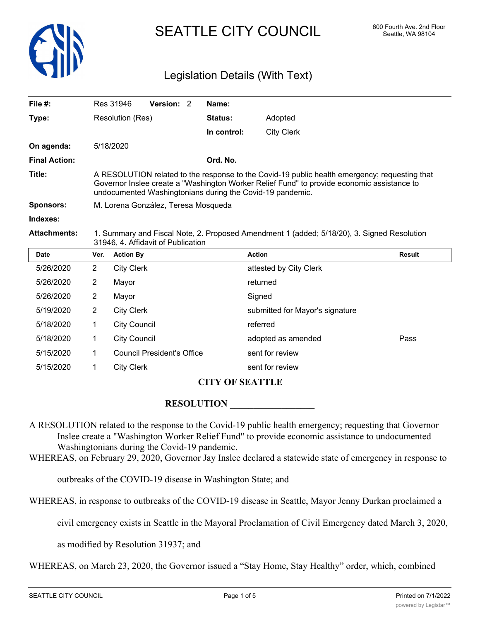

# SEATTLE CITY COUNCIL 600 Fourth Ave. 2nd Floor

### Legislation Details (With Text)

| File $#$ :           |                                                                                                                                                                                                                                                          | Res 31946                                            | Version: 2                        |  | Name:          |                        |               |  |
|----------------------|----------------------------------------------------------------------------------------------------------------------------------------------------------------------------------------------------------------------------------------------------------|------------------------------------------------------|-----------------------------------|--|----------------|------------------------|---------------|--|
| Type:                | Resolution (Res)                                                                                                                                                                                                                                         |                                                      |                                   |  | <b>Status:</b> | Adopted                |               |  |
|                      |                                                                                                                                                                                                                                                          |                                                      |                                   |  | In control:    | <b>City Clerk</b>      |               |  |
| On agenda:           |                                                                                                                                                                                                                                                          | 5/18/2020                                            |                                   |  |                |                        |               |  |
| <b>Final Action:</b> |                                                                                                                                                                                                                                                          |                                                      |                                   |  | Ord. No.       |                        |               |  |
| Title:               | A RESOLUTION related to the response to the Covid-19 public health emergency; requesting that<br>Governor Inslee create a "Washington Worker Relief Fund" to provide economic assistance to<br>undocumented Washingtonians during the Covid-19 pandemic. |                                                      |                                   |  |                |                        |               |  |
| <b>Sponsors:</b>     | M. Lorena González, Teresa Mosqueda                                                                                                                                                                                                                      |                                                      |                                   |  |                |                        |               |  |
| Indexes:             |                                                                                                                                                                                                                                                          |                                                      |                                   |  |                |                        |               |  |
| <b>Attachments:</b>  | 1. Summary and Fiscal Note, 2. Proposed Amendment 1 (added; 5/18/20), 3. Signed Resolution<br>31946, 4. Affidavit of Publication                                                                                                                         |                                                      |                                   |  |                |                        |               |  |
| <b>Date</b>          | Ver.                                                                                                                                                                                                                                                     | <b>Action By</b>                                     |                                   |  |                | <b>Action</b>          | <b>Result</b> |  |
| 5/26/2020            | $\overline{2}$                                                                                                                                                                                                                                           | <b>City Clerk</b>                                    |                                   |  |                | attested by City Clerk |               |  |
| 5/26/2020            | 2                                                                                                                                                                                                                                                        | Mayor                                                |                                   |  |                | returned               |               |  |
| 5/26/2020            | $\overline{2}$                                                                                                                                                                                                                                           | Mayor                                                |                                   |  | Signed         |                        |               |  |
| 5/19/2020            | 2                                                                                                                                                                                                                                                        | <b>City Clerk</b><br>submitted for Mayor's signature |                                   |  |                |                        |               |  |
| 5/18/2020            | 1                                                                                                                                                                                                                                                        | <b>City Council</b>                                  |                                   |  |                | referred               |               |  |
| 5/18/2020            | 1                                                                                                                                                                                                                                                        | <b>City Council</b>                                  |                                   |  |                | adopted as amended     | Pass          |  |
| 5/15/2020            | 1                                                                                                                                                                                                                                                        |                                                      | <b>Council President's Office</b> |  |                | sent for review        |               |  |
| 5/15/2020            | 1                                                                                                                                                                                                                                                        | <b>City Clerk</b>                                    |                                   |  |                | sent for review        |               |  |

#### **CITY OF SEATTLE**

#### **RESOLUTION \_\_\_\_\_\_\_\_\_\_\_\_\_\_\_\_\_\_**

A RESOLUTION related to the response to the Covid-19 public health emergency; requesting that Governor Inslee create a "Washington Worker Relief Fund" to provide economic assistance to undocumented Washingtonians during the Covid-19 pandemic.

WHEREAS, on February 29, 2020, Governor Jay Inslee declared a statewide state of emergency in response to

outbreaks of the COVID-19 disease in Washington State; and

WHEREAS, in response to outbreaks of the COVID-19 disease in Seattle, Mayor Jenny Durkan proclaimed a

civil emergency exists in Seattle in the Mayoral Proclamation of Civil Emergency dated March 3, 2020,

as modified by Resolution 31937; and

WHEREAS, on March 23, 2020, the Governor issued a "Stay Home, Stay Healthy" order, which, combined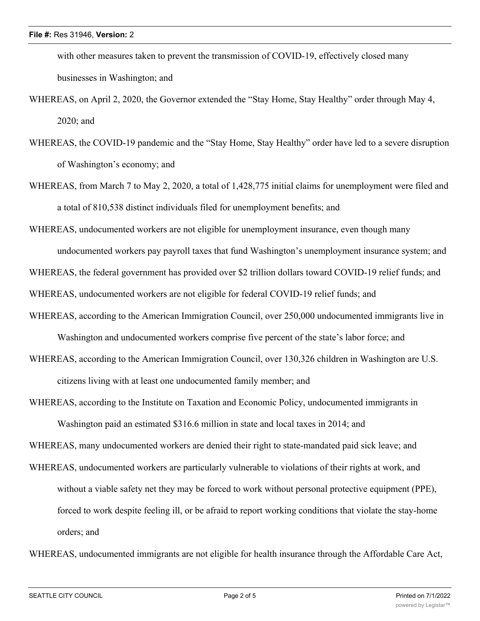with other measures taken to prevent the transmission of COVID-19, effectively closed many businesses in Washington; and

- WHEREAS, on April 2, 2020, the Governor extended the "Stay Home, Stay Healthy" order through May 4, 2020; and
- WHEREAS, the COVID-19 pandemic and the "Stay Home, Stay Healthy" order have led to a severe disruption of Washington's economy; and
- WHEREAS, from March 7 to May 2, 2020, a total of 1,428,775 initial claims for unemployment were filed and a total of 810,538 distinct individuals filed for unemployment benefits; and

WHEREAS, undocumented workers are not eligible for unemployment insurance, even though many

undocumented workers pay payroll taxes that fund Washington's unemployment insurance system; and

WHEREAS, the federal government has provided over \$2 trillion dollars toward COVID-19 relief funds; and

WHEREAS, undocumented workers are not eligible for federal COVID-19 relief funds; and

WHEREAS, according to the American Immigration Council, over 250,000 undocumented immigrants live in

Washington and undocumented workers comprise five percent of the state's labor force; and

WHEREAS, according to the American Immigration Council, over 130,326 children in Washington are U.S. citizens living with at least one undocumented family member; and

WHEREAS, according to the Institute on Taxation and Economic Policy, undocumented immigrants in

Washington paid an estimated \$316.6 million in state and local taxes in 2014; and

WHEREAS, many undocumented workers are denied their right to state-mandated paid sick leave; and

WHEREAS, undocumented workers are particularly vulnerable to violations of their rights at work, and without a viable safety net they may be forced to work without personal protective equipment (PPE), forced to work despite feeling ill, or be afraid to report working conditions that violate the stay-home orders; and

WHEREAS, undocumented immigrants are not eligible for health insurance through the Affordable Care Act,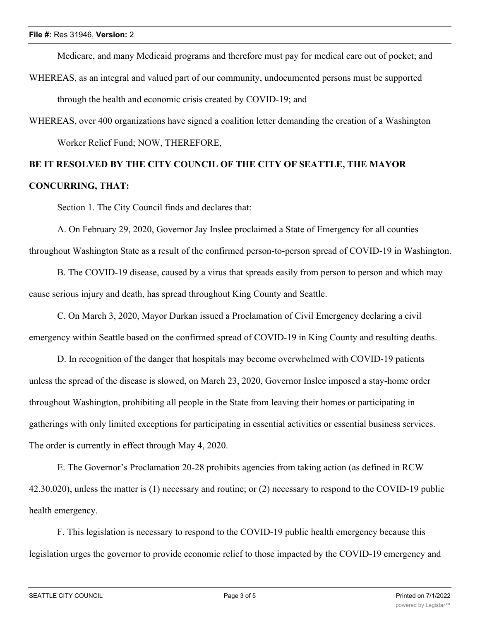Medicare, and many Medicaid programs and therefore must pay for medical care out of pocket; and

- WHEREAS, as an integral and valued part of our community, undocumented persons must be supported through the health and economic crisis created by COVID-19; and
- WHEREAS, over 400 organizations have signed a coalition letter demanding the creation of a Washington Worker Relief Fund; NOW, THEREFORE,

## **BE IT RESOLVED BY THE CITY COUNCIL OF THE CITY OF SEATTLE, THE MAYOR CONCURRING, THAT:**

Section 1. The City Council finds and declares that:

A. On February 29, 2020, Governor Jay Inslee proclaimed a State of Emergency for all counties throughout Washington State as a result of the confirmed person-to-person spread of COVID-19 in Washington.

B. The COVID-19 disease, caused by a virus that spreads easily from person to person and which may cause serious injury and death, has spread throughout King County and Seattle.

C. On March 3, 2020, Mayor Durkan issued a Proclamation of Civil Emergency declaring a civil emergency within Seattle based on the confirmed spread of COVID-19 in King County and resulting deaths.

D. In recognition of the danger that hospitals may become overwhelmed with COVID-19 patients unless the spread of the disease is slowed, on March 23, 2020, Governor Inslee imposed a stay-home order throughout Washington, prohibiting all people in the State from leaving their homes or participating in gatherings with only limited exceptions for participating in essential activities or essential business services. The order is currently in effect through May 4, 2020.

E. The Governor's Proclamation 20-28 prohibits agencies from taking action (as defined in RCW 42.30.020), unless the matter is (1) necessary and routine; or (2) necessary to respond to the COVID-19 public health emergency.

F. This legislation is necessary to respond to the COVID-19 public health emergency because this legislation urges the governor to provide economic relief to those impacted by the COVID-19 emergency and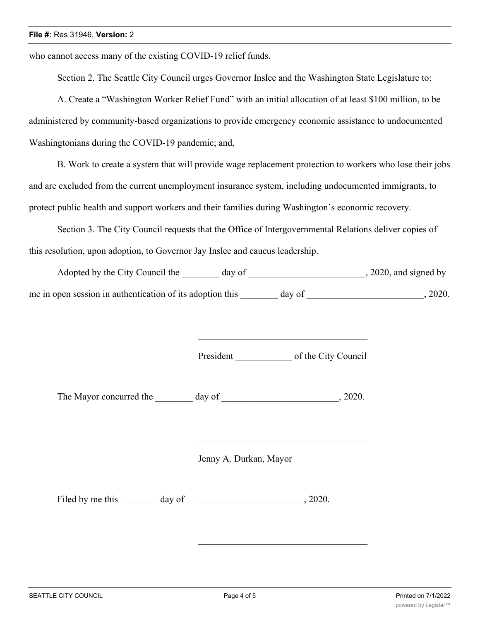who cannot access many of the existing COVID-19 relief funds.

Section 2. The Seattle City Council urges Governor Inslee and the Washington State Legislature to:

A. Create a "Washington Worker Relief Fund" with an initial allocation of at least \$100 million, to be administered by community-based organizations to provide emergency economic assistance to undocumented Washingtonians during the COVID-19 pandemic; and,

B. Work to create a system that will provide wage replacement protection to workers who lose their jobs and are excluded from the current unemployment insurance system, including undocumented immigrants, to protect public health and support workers and their families during Washington's economic recovery.

Section 3. The City Council requests that the Office of Intergovernmental Relations deliver copies of this resolution, upon adoption, to Governor Jay Inslee and caucus leadership.

| Adopted by the City Council the                           | day of |        | $, 2020,$ and signed by |
|-----------------------------------------------------------|--------|--------|-------------------------|
| me in open session in authentication of its adoption this |        | day of | 2020.                   |

President of the City Council

The Mayor concurred the day of the  $\sim$ , 2020.

Jenny A. Durkan, Mayor

Filed by me this day of 3020.